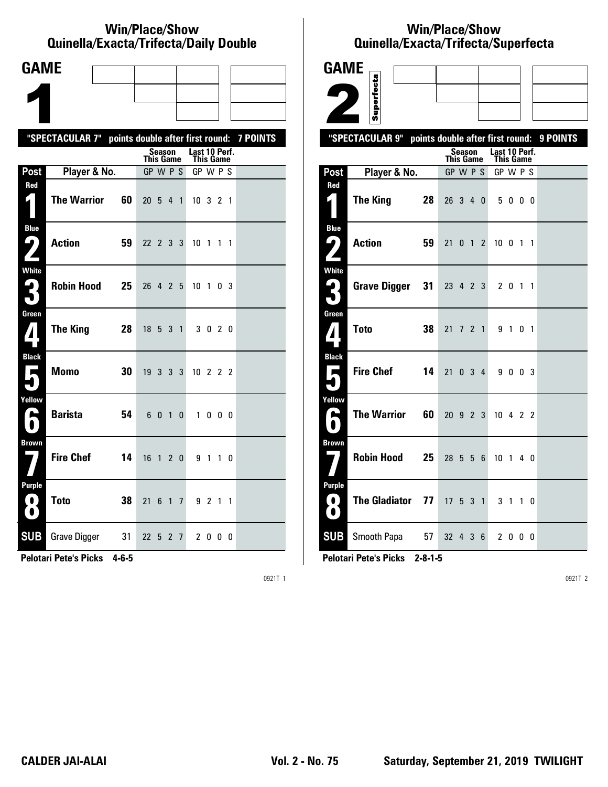#### **Win/Place/Show Qui nel la/Exacta/Tri fecta/Daily Dou ble**

| <b>GAME</b>                              |                                                           |                                          |                                   |  |
|------------------------------------------|-----------------------------------------------------------|------------------------------------------|-----------------------------------|--|
|                                          |                                                           |                                          |                                   |  |
|                                          |                                                           |                                          |                                   |  |
|                                          | "SPECTACULAR 7" points double after first round: 7 POINTS |                                          |                                   |  |
|                                          |                                                           | Season<br><b>This Game</b>               | Last 10 Perf.<br><b>This Game</b> |  |
| Post                                     | Player & No.                                              | GP W P S                                 | GP W P S                          |  |
| Red<br>$\mathbf{I}$ )                    | <b>The Warrior</b><br>60                                  | 20 5 4 1                                 | 10 3 2 1                          |  |
| <b>Blue</b><br>7                         | <b>Action</b><br>59                                       | 22 2 3 3                                 | 10 1 1 1                          |  |
| White<br>3                               | <b>Robin Hood</b><br>25                                   | 26<br>4 2 5                              | 10 <sub>1</sub><br>03             |  |
| Green<br>$\boldsymbol{I}$                | <b>The King</b><br>28                                     | 18 5 3 1                                 | 3 0 2 0                           |  |
| <b>Black</b><br>$\overline{\phantom{a}}$ | <b>Momo</b><br>30                                         | 19 3 3 3                                 | 10 2 2 2                          |  |
| Yellow<br>N                              | <b>Barista</b><br>54                                      | 6<br>$\mathbf{0}$<br>$\overline{1}$<br>0 | $\mathbf{1}$<br>$0\quad 0\quad 0$ |  |
| <b>Brown</b>                             | <b>Fire Chef</b><br>14                                    | 16 1 2 0                                 | 9 1 1 0                           |  |
| Purple<br>$\left( 0\right)$<br>O         | <b>Toto</b><br>38                                         | 21<br>6<br>$1\overline{7}$               | 9 2 1 1                           |  |
| <b>SUB</b>                               | <b>Grave Digger</b><br>- 31                               | 22 5 2 7                                 | 2000                              |  |

**Pelotari Pete's Picks 4-6-5**

0921T 1

# **Win/Place/Show Qui nel la/Exacta/Tri fecta/Super fecta**

| <b>GAME</b>                                                                                         |                      |    |                        |  |                     |       |                  |         |             |    |          |
|-----------------------------------------------------------------------------------------------------|----------------------|----|------------------------|--|---------------------|-------|------------------|---------|-------------|----|----------|
|                                                                                                     |                      |    |                        |  |                     |       |                  |         |             |    |          |
|                                                                                                     | Superfecta           |    |                        |  |                     |       |                  |         |             |    |          |
|                                                                                                     | "SPECTACULAR 9"      |    |                        |  |                     |       |                  |         |             |    | 9 POINTS |
| points double after first round:<br>Last 10 Perf.<br>Season<br><b>This Game</b><br><b>This Game</b> |                      |    |                        |  |                     |       |                  |         |             |    |          |
| Post                                                                                                | Player & No.         |    | GP W P S               |  |                     |       | GP W P S         |         |             |    |          |
| Red<br>4                                                                                            | <b>The King</b>      | 28 | 26 3 4 0               |  |                     |       |                  | 5000    |             |    |          |
| <b>Blue</b><br>ر ما                                                                                 | <b>Action</b>        | 59 | 21                     |  | $0 \quad 1 \quad 2$ |       | 10 <sub>0</sub>  |         | $1 \quad 1$ |    |          |
| <b>White</b><br>$\mathsf{G}_1$<br>₩.                                                                | <b>Grave Digger</b>  | 31 | 23 4 2 3               |  |                     |       |                  | 2 0 1 1 |             |    |          |
| Green<br>7                                                                                          | <b>Toto</b>          | 38 | 21                     |  |                     | 7 2 1 |                  | 9 1 0 1 |             |    |          |
| <b>Black</b><br>П                                                                                   | <b>Fire Chef</b>     | 14 | 21                     |  |                     | 034   |                  | 9 0 0 3 |             |    |          |
| Yellow<br>پ                                                                                         | <b>The Warrior</b>   | 60 | 20 9 2 3               |  |                     |       | $10 \t4 \t2 \t2$ |         |             |    |          |
| <b>Brown</b>                                                                                        | <b>Robin Hood</b>    | 25 | 28 5 5 6               |  |                     |       | 10 <sub>1</sub>  |         |             | 40 |          |
| <b>Purple</b><br>0<br>O.                                                                            | <b>The Gladiator</b> | 77 | $17\;\; 5\;\; 3\;\; 1$ |  |                     |       | 3 <sub>1</sub>   |         |             | 10 |          |
| <b>SUB</b>                                                                                          | Smooth Papa 57       |    | 32 4 3 6               |  |                     |       |                  | 2 0 0 0 |             |    |          |

**Pelotari Pete's Picks 2-8-1-5**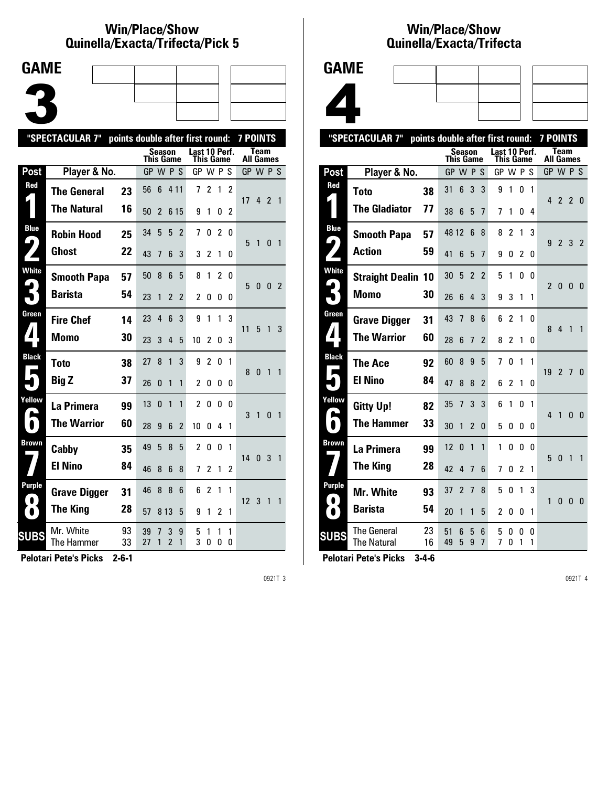### **Win/Place/Show Qui nel la/Exacta/Tri fecta/Pick 5**



|                                      | "SPECTACULAR 7"         |          |          | points double after first round: |                     |                |                |                            |                |                |                  |              | <b>7 POINTS</b> |                |  |  |
|--------------------------------------|-------------------------|----------|----------|----------------------------------|---------------------|----------------|----------------|----------------------------|----------------|----------------|------------------|--------------|-----------------|----------------|--|--|
|                                      |                         |          |          | Season<br>This Game              |                     |                |                | Last 10 Perf.<br>This Game |                |                | <b>All Games</b> | Team         |                 |                |  |  |
| <b>Post</b>                          | Player & No.            |          | GP W P S |                                  |                     |                | GP W P S       |                            |                |                | GP W P S         |              |                 |                |  |  |
| Red                                  | <b>The General</b>      | 23       | 56       | 6                                | 4 1 1               |                | 7              | 2                          | 1              | $\overline{2}$ | 17               | 4            | $\mathcal{P}$   | $\overline{1}$ |  |  |
|                                      | <b>The Natural</b>      | 16       | 50       | 2                                | 6 15                |                | 9              | 1                          | 0              | 2              |                  |              |                 |                |  |  |
| <b>Blue</b><br>$\blacktriangleright$ | <b>Robin Hood</b>       | 25       | 34       | 5                                | 5                   | $\overline{2}$ | 7              | 0                          | $\overline{2}$ | 0              | 5                | $\mathbf{1}$ | $\mathbf{0}$    | $\overline{1}$ |  |  |
|                                      | <b>Ghost</b>            | 22       | 43       | 7                                | 6                   | 3              | 3              | 2                          | 1              | 0              |                  |              |                 |                |  |  |
| White                                | <b>Smooth Papa</b>      | 57       | 50       | 8                                | 6                   | 5              | 8              | 1                          | $\overline{c}$ | 0              | 5                | 0            | 0               | $\overline{2}$ |  |  |
|                                      | <b>Barista</b>          | 54       | 23       | 1                                | $\overline{2}$      | $\overline{2}$ | 2              | 0                          | 0              | 0              |                  |              |                 |                |  |  |
| Green                                | <b>Fire Chef</b>        | 14       | 23       | $\overline{4}$                   | 6                   | 3              | 9              | 1                          | 1              | 3              | 11               | 5            | $\mathbf{1}$    | 3              |  |  |
| $\blacktriangle$                     | <b>Momo</b>             | 30       | 23       | 3                                | 4                   | 5              | 10             | 2                          | 0              | 3              |                  |              |                 |                |  |  |
| <b>Black</b>                         | Toto                    | 38       | 27       | 8                                | 1                   | 3              | 9              | $\overline{c}$             | 0              | 1              | 8                | $\mathbf{0}$ | $\overline{1}$  | $\mathbf{1}$   |  |  |
|                                      | <b>Big Z</b>            | 37       | 26       | 0                                | $\mathbf{1}$        | 1              | 2              | 0                          | 0              | 0              |                  |              |                 |                |  |  |
| Yellow                               | La Primera              | 99       | 13       | 0                                | 1                   | 1              | $\overline{c}$ | 0                          | 0              | n              | 3                | $\mathbf{1}$ | $\mathbf{0}$    | $\mathbf{1}$   |  |  |
| $\blacksquare$                       | <b>The Warrior</b>      | 60       | 28       | 9                                | 6                   | $\overline{2}$ | 10             | 0                          | 4              | 1              |                  |              |                 |                |  |  |
| Brown                                | Cabby                   | 35       | 49       | 5                                | 8                   | 5              | $\overline{c}$ | $\Omega$                   | $\Omega$       | 1              | 14               | $\mathbf{0}$ | 3               | $\mathbf{1}$   |  |  |
|                                      | <b>El Nino</b>          | 84       | 46       | 8                                | 6                   | 8              | 7              | $\overline{c}$             | 1              | 2              |                  |              |                 |                |  |  |
| Purple                               | <b>Grave Digger</b>     | 31       | 46       | 8                                | 8                   | 6              | 6              | $\overline{c}$             | 1              | 1              | 12 <sup>2</sup>  | 3            | $\overline{1}$  | $\mathbf{1}$   |  |  |
| $\bullet$                            | <b>The King</b>         | 28       | 57       | 8 1 3                            |                     | 5              | 9              | 1                          | 2              | 1              |                  |              |                 |                |  |  |
| <b>SUBS</b>                          | Mr. White<br>The Hammer | 93<br>33 | 39<br>27 | 7<br>1                           | 3<br>$\overline{c}$ | 9<br>1         | 5<br>3         | 1<br>0                     | 1<br>0         | 1<br>0         |                  |              |                 |                |  |  |
|                                      |                         |          |          |                                  |                     |                |                |                            |                |                |                  |              |                 |                |  |  |

**Pelotari Pete's Picks 2-6-1**

0921T 3

## **Win/Place/Show Qui nel la/Exacta/Tri fecta**



|                            | "SPECTACULAR 7"                   |          | points double after first round: |                |                          |                          |                |                | <b>7 POINTS</b> |        |                |                   |                |                |
|----------------------------|-----------------------------------|----------|----------------------------------|----------------|--------------------------|--------------------------|----------------|----------------|-----------------|--------|----------------|-------------------|----------------|----------------|
|                            |                                   |          | This Game                        | <b>Season</b>  |                          |                          | Last 10 Perf.  | This Game      |                 |        |                | Team<br>All Games |                |                |
| Post                       | Player & No.                      |          | GP W P S                         |                |                          |                          | GP W P S       |                |                 |        |                | GP W P S          |                |                |
| Red                        | <b>Toto</b>                       | 38       | 31                               | 6              | 3                        | 3                        | 9              | 1              | 0               | 1      |                |                   |                |                |
|                            | <b>The Gladiator</b>              | 77       | 38                               | 6              | 5                        | $\overline{1}$           | 7              | 1              | 0               | 4      | 4              | $\overline{2}$    | $\mathfrak{p}$ | - 0            |
| <b>Blue</b>                | <b>Smooth Papa</b>                | 57       | 48 12                            |                | 6                        | 8                        | 8              | 2              | 1               | 3      |                |                   |                |                |
| پا                         | <b>Action</b>                     | 59       | 41                               | 6              | 5                        | $\overline{1}$           | 9              | 0              | 2               | 0      | 9              | $\overline{2}$    | 3              | 2              |
| <b>White</b><br>$\zeta$    | <b>Straight Dealin 10</b>         |          | 30                               | 5              | $\overline{2}$           | $\overline{2}$           | 5              | 1              | 0               | 0      | $\mathfrak{p}$ | $\bf{0}$          | $\mathbf{0}$   | - 0            |
|                            | <b>Momo</b>                       | 30       | 26                               | 6              | 4                        | 3                        | 9              | 3              | 1               | 1      |                |                   |                |                |
| Green                      | <b>Grave Digger</b>               | 31       | 43                               | 7              | 8                        | 6                        | 6              | $\overline{c}$ | 1               | 0      | 8              | 4                 | 1              | 1              |
| Ζ                          | <b>The Warrior</b>                | 60       | 28                               | 6              | 7                        | $\overline{2}$           | 8              | 2              | 1               | 0      |                |                   |                |                |
| <b>Black</b><br>П          | <b>The Ace</b>                    | 92       | 60                               | 8              | 9                        | 5                        | 7              | 0              | 1               | 1      | 19             | $\mathfrak{p}$    | $\overline{7}$ | $\overline{0}$ |
|                            | <b>El Nino</b>                    | 84       | 47                               | 8              | 8                        | $\overline{\phantom{a}}$ | 6              | 2              | 1               | 0      |                |                   |                |                |
| Yellow                     | <b>Gitty Up!</b>                  | 82       | 35                               | 7              | 3                        | 3                        | 6              | 1              | 0               | 1      | $\overline{4}$ | $\mathbf{1}$      | $\Omega$       | - 0            |
|                            | <b>The Hammer</b>                 | 33       | 30                               | 1              | $\overline{\phantom{a}}$ | 0                        | 5              | 0              | 0               | 0      |                |                   |                |                |
| Brown                      | La Primera                        | 99       | 12                               | $\mathbf{0}$   | 1                        | 1                        | 1              | 0              | $\Omega$        | 0      | 5              | $\Omega$          | 1              | $\mathbf{1}$   |
|                            | <b>The King</b>                   | 28       | 42                               | 4              | 7                        | 6                        | 7              | 0              | 2               | 1      |                |                   |                |                |
| <b>Purple</b><br>$\bullet$ | <b>Mr. White</b>                  | 93       | 37                               | $\overline{2}$ | 7                        | 8                        | 5              | 0              | 1               | 3      | 1              | $\mathbf{0}$      | $\Omega$       |                |
|                            | <b>Barista</b>                    | 54       | 20                               | 1              | 1                        | 5                        | $\overline{c}$ | 0              | 0               | 1      |                |                   |                | - 0            |
| <b>SUBS</b>                | The General<br><b>The Natural</b> | 23<br>16 | 51<br>49                         | 6<br>5         | 5<br>9                   | 6<br>$\overline{1}$      | 5<br>7         | O<br>0         | 0<br>1          | 0<br>1 |                |                   |                |                |
|                            |                                   |          |                                  |                |                          |                          |                |                |                 |        |                |                   |                |                |

**Pelotari Pete's Picks 3-4-6**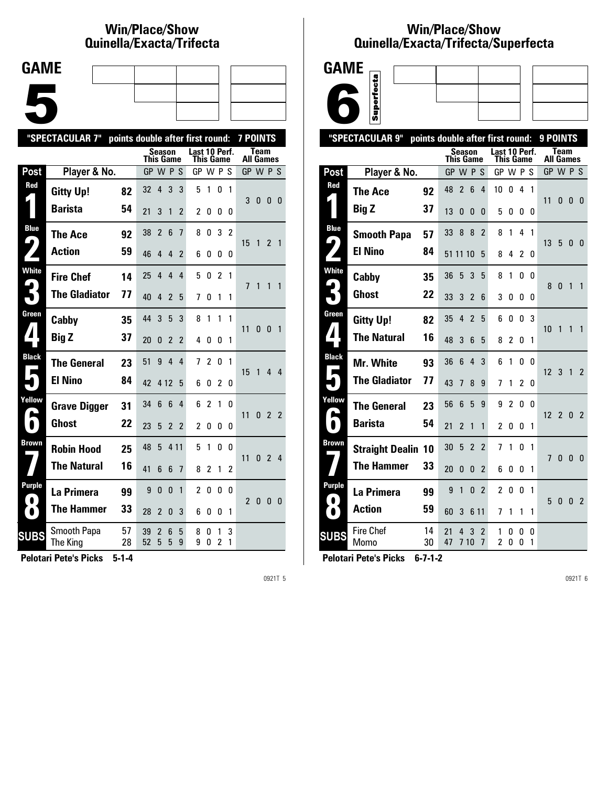## **Win/Place/Show Qui nel la/Exacta/Tri fecta**

| <b>GAME</b> |  |  |
|-------------|--|--|
|             |  |  |
|             |  |  |
|             |  |  |
|             |  |  |
|             |  |  |
|             |  |  |
|             |  |  |

|                     | "SPECTACULAR 7"<br>points double after first round: |          |                  |                     |                 |                | <b>7 POINTS</b>            |                |                     |              |                  |              |                |                |
|---------------------|-----------------------------------------------------|----------|------------------|---------------------|-----------------|----------------|----------------------------|----------------|---------------------|--------------|------------------|--------------|----------------|----------------|
|                     |                                                     |          | <b>This Game</b> | Season              |                 |                | Last 10 Perf.<br>This Game |                |                     |              | <b>All Games</b> | Team         |                |                |
| Post                | Player & No.                                        |          | GP W P S         |                     |                 |                | GP W P S                   |                |                     |              | GP W P S         |              |                |                |
| Red                 | <b>Gitty Up!</b>                                    | 82       | 32               | 4                   | 3               | 3              | 5                          | 1              | 0                   | $\mathbf{1}$ | 3                | $\mathbf{0}$ | 0              | - 0            |
|                     | <b>Barista</b>                                      | 54       | 21               | 3                   | 1               | 2              | 2                          | 0              | 0                   | 0            |                  |              |                |                |
| <b>Blue</b>         | The Ace                                             | 92       | 38               | $\overline{2}$      | $6\phantom{1}$  | 7              | 8                          | 0              | 3                   | 2            | 15               |              | $\overline{2}$ | $\overline{1}$ |
|                     | <b>Action</b>                                       | 59       | 46               | 4                   | 4               | 2              | 6                          | 0              | 0                   | 0            |                  | $\mathbf{1}$ |                |                |
| <b>White</b>        | <b>Fire Chef</b>                                    | 14       | 25               | 4                   | 4               | 4              | 5                          | 0              | $\overline{c}$      | 1            | 7                | 1            | 1              | 1              |
|                     | <b>The Gladiator</b>                                | 77       | 40               | 4                   | $\mathfrak{p}$  | 5              | 7                          | 0              | 1                   | 1            |                  |              |                |                |
| Green               | Cabby                                               | 35       | 44               | 3                   | 5               | 3              | 8                          | 1              | 1                   | 1            | 11               | 0            | 0              | $\overline{1}$ |
|                     | <b>Big Z</b>                                        | 37       | 20               | 0                   | $\mathfrak{p}$  | 2              | 4                          | 0              | 0                   | 1            |                  |              |                |                |
| <b>Black</b>        | <b>The General</b>                                  | 23       | 51               | 9                   | $\overline{4}$  | 4              | 7                          | $\overline{2}$ | 0                   | $\mathbf{1}$ | 15               | 1            | 44             |                |
|                     | <b>El Nino</b>                                      | 84       | 42               | 4 1 2               |                 | 5              | 6                          | 0              | 2                   | 0            |                  |              |                |                |
| Yellow              | <b>Grave Digger</b>                                 | 31       | 34               | 6                   | $6\phantom{1}6$ | 4              | 6                          | $\mathfrak z$  | 1                   | <sub>0</sub> | 11               | $\mathbf{0}$ | 2 <sub>2</sub> |                |
| $\bullet$           | Ghost                                               | 22       | 23               | 5                   | $\overline{2}$  | $\overline{2}$ | 2                          | 0              | 0                   | 0            |                  |              |                |                |
| Brown               | <b>Robin Hood</b>                                   | 25       | 48               | 5                   | 4 1 1           |                | 5                          | 1              | 0                   | U            | 11               | $\mathbf{0}$ | 2 <sub>4</sub> |                |
|                     | <b>The Natural</b>                                  | 16       | 41               | 6                   | 6               | 7              | 8                          | $\overline{2}$ | 1                   | 2            |                  |              |                |                |
| Purple<br>$\bullet$ | La Primera                                          | 99       | 9                | $\Omega$            | $\mathbf{0}$    | 1              | $\overline{c}$             | 0              | 0                   | 0            | 2                | $\mathbf{0}$ | $\mathbf{0}$   | 0              |
| $\bullet$           | <b>The Hammer</b>                                   | 33       | 28               | $\mathfrak z$       | $\Omega$        | 3              | 6                          | 0              | 0                   | 1            |                  |              |                |                |
| <b>SUBS</b>         | <b>Smooth Papa</b><br>The King                      | 57<br>28 | 39<br>52         | $\overline{2}$<br>5 | 6<br>5          | 5<br>9         | 8<br>9                     | 0<br>0         | 1<br>$\overline{2}$ | 3<br>1       |                  |              |                |                |
|                     |                                                     |          |                  |                     |                 |                |                            |                |                     |              |                  |              |                |                |

**Pelotari Pete's Picks 5-1-4**

0921T 5

## **Win/Place/Show Qui nel la/Exacta/Tri fecta/Super fecta**



|                            | "SPECTACULAR 9"           |          | points double after first round: |                |                                  |                                   |                |               |              | 9 POINTS        |                          |              |                |
|----------------------------|---------------------------|----------|----------------------------------|----------------|----------------------------------|-----------------------------------|----------------|---------------|--------------|-----------------|--------------------------|--------------|----------------|
|                            |                           |          | Season<br>This Game              |                |                                  | Last 10 Perf.<br><b>This Game</b> |                |               |              |                 | Team<br><b>All Games</b> |              |                |
| Post                       | Player & No.              |          | GP W P S                         |                |                                  | GP W P S                          |                |               |              |                 | GP W P S                 |              |                |
| Red                        | <b>The Ace</b>            | 92       | 48<br>$\overline{2}$             | $6\phantom{1}$ | $\overline{4}$                   | 10                                | 0              | 4             | $\mathbf{1}$ |                 |                          |              |                |
|                            | <b>Big Z</b>              | 37       | 13<br>0                          | 0              | 0                                | 5                                 | 0              | 0             | 0            | 11              | 0                        | 0            | - 0            |
| <b>Blue</b>                | <b>Smooth Papa</b>        | 57       | 8<br>33                          | 8              | $\overline{2}$                   | 8                                 | 1              | 4             | 1            |                 |                          |              |                |
| $\blacklozenge$            | <b>El Nino</b>            | 84       | 51 11 10                         |                | 5                                | 8                                 | 4              | 2             | 0            | 13              | 5                        | $\mathbf{0}$ | - 0            |
| <b>White</b>               | Cabby                     | 35       | 36<br>5                          | 3              | 5                                | 8                                 | 1              | 0             | 0            | 8               | 0                        | $\mathbf{1}$ | 1              |
|                            | Ghost                     | 22       | 33<br>3                          | $\mathfrak z$  | 6                                | 3                                 | 0              | 0             | 0            |                 |                          |              |                |
| Green                      | <b>Gitty Up!</b>          | 82       | 35<br>4                          | $\overline{2}$ | 5                                | 6                                 | 0              | 0             | 3            | 10              | 1                        | 1            | 1              |
| ◢                          | <b>The Natural</b>        | 16       | 48<br>3                          | 6              | 5                                | 8                                 | 2              | 0             | 1            |                 |                          |              |                |
| <b>Black</b>               | <b>Mr. White</b>          | 93       | 36<br>6                          | 4              | 3                                | 6                                 | 1              | 0             | 0            | 12 <sup>3</sup> |                          | $\mathbf{1}$ | $\overline{2}$ |
|                            | <b>The Gladiator</b>      | 77       | 43<br>7                          | 8              | 9                                | 7                                 | 1              | $\mathfrak z$ | 0            |                 |                          |              |                |
| Yellow                     | <b>The General</b>        | 23       | 6<br>56                          | 5              | 9                                | 9                                 | $\overline{2}$ | 0             | 0            | 12              | 2 <sub>0</sub>           |              | $\overline{2}$ |
|                            | <b>Barista</b>            | 54       | 21<br>2                          | 1              | 1                                | $\overline{c}$                    | 0              | 0             | 1            |                 |                          |              |                |
| <b>Brown</b>               | <b>Straight Dealin 10</b> |          | 30<br>5                          | $\overline{2}$ | $\overline{c}$                   | 7                                 | 1              | 0             | 1            | 7               | $\mathbf{0}$             | $\Omega$     | $\overline{0}$ |
|                            | <b>The Hammer</b>         | 33       | 20<br>0                          | 0              | $\overline{2}$                   | 6                                 | 0              | 0             | 1            |                 |                          |              |                |
| <b>Purple</b><br>$\bullet$ | La Primera                | 99       | 9<br>1                           | 0              | $\overline{2}$                   | $\overline{c}$                    | 0              | 0             | 1            | 5               | 0                        |              |                |
| O.                         | <b>Action</b>             | 59       | 60<br>3                          |                | 6 1 1                            | 7                                 | 1              | 1             | 1            |                 |                          | $\mathbf{0}$ | $\overline{2}$ |
| <b>SUBS</b>                | <b>Fire Chef</b><br>Momo  | 14<br>30 | 21<br>4<br>47                    | 3<br>710       | $\overline{c}$<br>$\overline{1}$ | 1<br>2                            | 0<br>O         | 0<br>O        | 0<br>1       |                 |                          |              |                |
|                            |                           |          |                                  |                |                                  |                                   |                |               |              |                 |                          |              |                |

**Pelotari Pete's Picks 6-7-1-2**